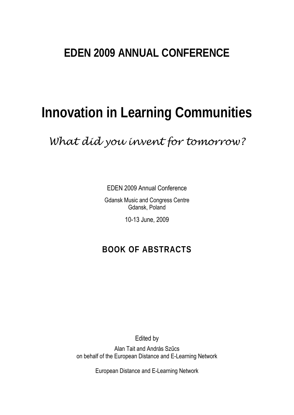## **EDEN 2009 ANNUAL CONFERENCE**

# **Innovation in Learning Communities**

*What did you invent for tomorrow?* 

EDEN 2009 Annual Conference

Gdansk Music and Congress Centre Gdansk, Poland

10-13 June, 2009

## **BOOK OF ABSTRACTS**

Edited by

Alan Tait and András Szűcs on behalf of the European Distance and E-Learning Network

European Distance and E-Learning Network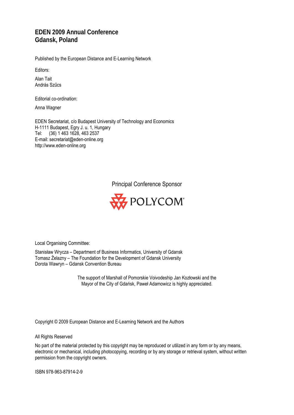### **EDEN 2009 Annual Conference Gdansk, Poland**

Published by the European Distance and E-Learning Network

Editors:

Alan Tait András Szűcs

Editorial co-ordination:

Anna Wagner

EDEN Secretariat, c/o Budapest University of Technology and Economics H-1111 Budapest, Egry J. u. 1, Hungary Tel: (36) 1 463 1628, 463 2537 E-mail: secretariat@eden-online.org http://www.eden-online.org

Principal Conference Sponsor



Local Organising Committee:

Stanisław Wrycza – Department of Business Informatics, University of Gdansk Tomasz Żelazny – The Foundation for the Development of Gdansk University Dorota Wawryn – Gdansk Convention Bureau

> The support of Marshall of Pomorskie Voivodeship Jan Kozłowski and the Mayor of the City of Gdańsk, Paweł Adamowicz is highly appreciated.

Copyright © 2009 European Distance and E-Learning Network and the Authors

All Rights Reserved

No part of the material protected by this copyright may be reproduced or utilized in any form or by any means, electronic or mechanical, including photocopying, recording or by any storage or retrieval system, without written permission from the copyright owners.

ISBN 978-963-87914-2-9